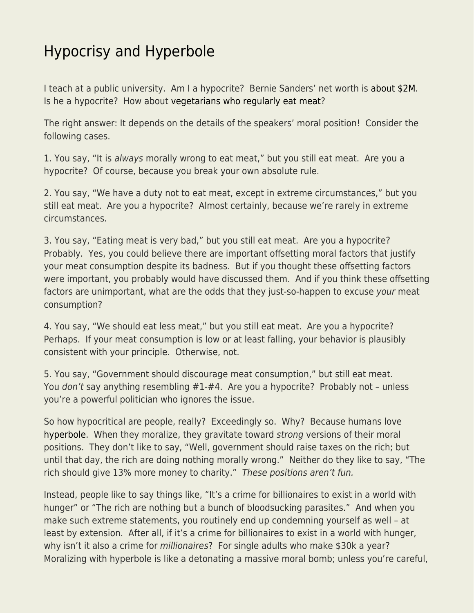## [Hypocrisy and Hyperbole](https://everything-voluntary.com/hypocrisy-and-hyperbole)

I teach at a public university. Am I a hypocrite? Bernie Sanders' net worth is [about \\$2M.](https://www.businessinsider.com/bernie-sanders-net-worth-assets-house-salary-book-sales-2019-2) Is he a hypocrite? How about [vegetarians who regularly eat meat?](https://www.econlib.org/archives/2013/07/vegetarianism_a.html)

The right answer: It depends on the details of the speakers' moral position! Consider the following cases.

1. You say, "It is always morally wrong to eat meat," but you still eat meat. Are you a hypocrite? Of course, because you break your own absolute rule.

2. You say, "We have a duty not to eat meat, except in extreme circumstances," but you still eat meat. Are you a hypocrite? Almost certainly, because we're rarely in extreme circumstances.

3. You say, "Eating meat is very bad," but you still eat meat. Are you a hypocrite? Probably. Yes, you could believe there are important offsetting moral factors that justify your meat consumption despite its badness. But if you thought these offsetting factors were important, you probably would have discussed them. And if you think these offsetting factors are unimportant, what are the odds that they just-so-happen to excuse your meat consumption?

4. You say, "We should eat less meat," but you still eat meat. Are you a hypocrite? Perhaps. If your meat consumption is low or at least falling, your behavior is plausibly consistent with your principle. Otherwise, not.

5. You say, "Government should discourage meat consumption," but still eat meat. You don't say anything resembling #1-#4. Are you a hypocrite? Probably not – unless you're a powerful politician who ignores the issue.

So how hypocritical are people, really? Exceedingly so. Why? Because humans love [hyperbole.](https://www.econlib.org/archives/2015/09/whats_libertari.html) When they moralize, they gravitate toward strong versions of their moral positions. They don't like to say, "Well, government should raise taxes on the rich; but until that day, the rich are doing nothing morally wrong." Neither do they like to say, "The rich should give 13% more money to charity." These positions aren't fun.

Instead, people like to say things like, "It's a crime for billionaires to exist in a world with hunger" or "The rich are nothing but a bunch of bloodsucking parasites." And when you make such extreme statements, you routinely end up condemning yourself as well – at least by extension. After all, if it's a crime for billionaires to exist in a world with hunger, why isn't it also a crime for *millionaires*? For single adults who make \$30k a year? Moralizing with hyperbole is like a detonating a massive moral bomb; unless you're careful,